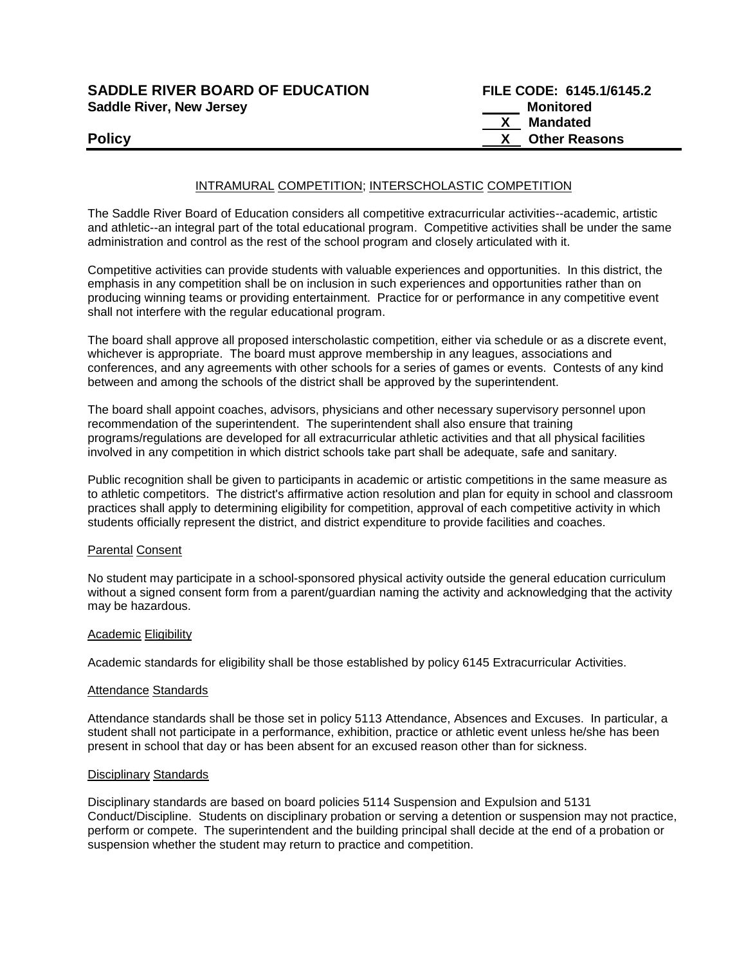# **SADDLE RIVER BOARD OF EDUCATION Saddle River, New Jersey**

| <b>SADDLE RIVER BOARD OF EDUCATION</b> | FILE CODE: 6145.1/6145.2 |  |  |
|----------------------------------------|--------------------------|--|--|
| <b>Saddle River, New Jersey</b>        | Monitored                |  |  |
|                                        | X Mandated               |  |  |
| <b>Policy</b>                          | X Other Reasons          |  |  |

## INTRAMURAL COMPETITION; INTERSCHOLASTIC COMPETITION

The Saddle River Board of Education considers all competitive extracurricular activities--academic, artistic and athletic--an integral part of the total educational program. Competitive activities shall be under the same administration and control as the rest of the school program and closely articulated with it.

Competitive activities can provide students with valuable experiences and opportunities. In this district, the emphasis in any competition shall be on inclusion in such experiences and opportunities rather than on producing winning teams or providing entertainment. Practice for or performance in any competitive event shall not interfere with the regular educational program.

The board shall approve all proposed interscholastic competition, either via schedule or as a discrete event, whichever is appropriate. The board must approve membership in any leagues, associations and conferences, and any agreements with other schools for a series of games or events. Contests of any kind between and among the schools of the district shall be approved by the superintendent.

The board shall appoint coaches, advisors, physicians and other necessary supervisory personnel upon recommendation of the superintendent. The superintendent shall also ensure that training programs/regulations are developed for all extracurricular athletic activities and that all physical facilities involved in any competition in which district schools take part shall be adequate, safe and sanitary.

Public recognition shall be given to participants in academic or artistic competitions in the same measure as to athletic competitors. The district's affirmative action resolution and plan for equity in school and classroom practices shall apply to determining eligibility for competition, approval of each competitive activity in which students officially represent the district, and district expenditure to provide facilities and coaches.

## Parental Consent

No student may participate in a school-sponsored physical activity outside the general education curriculum without a signed consent form from a parent/guardian naming the activity and acknowledging that the activity may be hazardous.

## **Academic Eligibility**

Academic standards for eligibility shall be those established by policy 6145 Extracurricular Activities.

#### Attendance Standards

Attendance standards shall be those set in policy 5113 Attendance, Absences and Excuses. In particular, a student shall not participate in a performance, exhibition, practice or athletic event unless he/she has been present in school that day or has been absent for an excused reason other than for sickness.

#### Disciplinary Standards

Disciplinary standards are based on board policies 5114 Suspension and Expulsion and 5131 Conduct/Discipline. Students on disciplinary probation or serving a detention or suspension may not practice, perform or compete. The superintendent and the building principal shall decide at the end of a probation or suspension whether the student may return to practice and competition.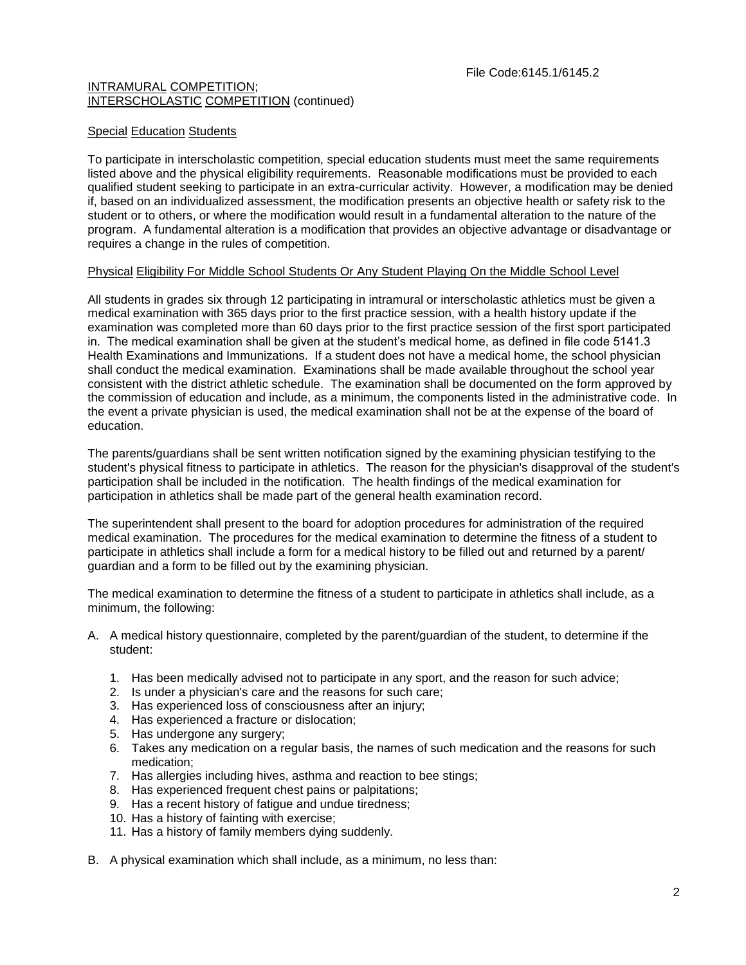## Special Education Students

To participate in interscholastic competition, special education students must meet the same requirements listed above and the physical eligibility requirements. Reasonable modifications must be provided to each qualified student seeking to participate in an extra-curricular activity. However, a modification may be denied if, based on an individualized assessment, the modification presents an objective health or safety risk to the student or to others, or where the modification would result in a fundamental alteration to the nature of the program. A fundamental alteration is a modification that provides an objective advantage or disadvantage or requires a change in the rules of competition.

## Physical Eligibility For Middle School Students Or Any Student Playing On the Middle School Level

All students in grades six through 12 participating in intramural or interscholastic athletics must be given a medical examination with 365 days prior to the first practice session, with a health history update if the examination was completed more than 60 days prior to the first practice session of the first sport participated in. The medical examination shall be given at the student's medical home, as defined in file code 5141.3 Health Examinations and Immunizations. If a student does not have a medical home, the school physician shall conduct the medical examination. Examinations shall be made available throughout the school year consistent with the district athletic schedule. The examination shall be documented on the form approved by the commission of education and include, as a minimum, the components listed in the administrative code. In the event a private physician is used, the medical examination shall not be at the expense of the board of education.

The parents/guardians shall be sent written notification signed by the examining physician testifying to the student's physical fitness to participate in athletics. The reason for the physician's disapproval of the student's participation shall be included in the notification. The health findings of the medical examination for participation in athletics shall be made part of the general health examination record.

The superintendent shall present to the board for adoption procedures for administration of the required medical examination. The procedures for the medical examination to determine the fitness of a student to participate in athletics shall include a form for a medical history to be filled out and returned by a parent/ guardian and a form to be filled out by the examining physician.

The medical examination to determine the fitness of a student to participate in athletics shall include, as a minimum, the following:

- A. A medical history questionnaire, completed by the parent/guardian of the student, to determine if the student:
	- 1. Has been medically advised not to participate in any sport, and the reason for such advice;
	- 2. Is under a physician's care and the reasons for such care;
	- 3. Has experienced loss of consciousness after an injury;
	- 4. Has experienced a fracture or dislocation;
	- 5. Has undergone any surgery;
	- 6. Takes any medication on a regular basis, the names of such medication and the reasons for such medication;
	- 7. Has allergies including hives, asthma and reaction to bee stings;
	- 8. Has experienced frequent chest pains or palpitations;
	- 9. Has a recent history of fatigue and undue tiredness;
	- 10. Has a history of fainting with exercise;
	- 11. Has a history of family members dying suddenly.
- B. A physical examination which shall include, as a minimum, no less than: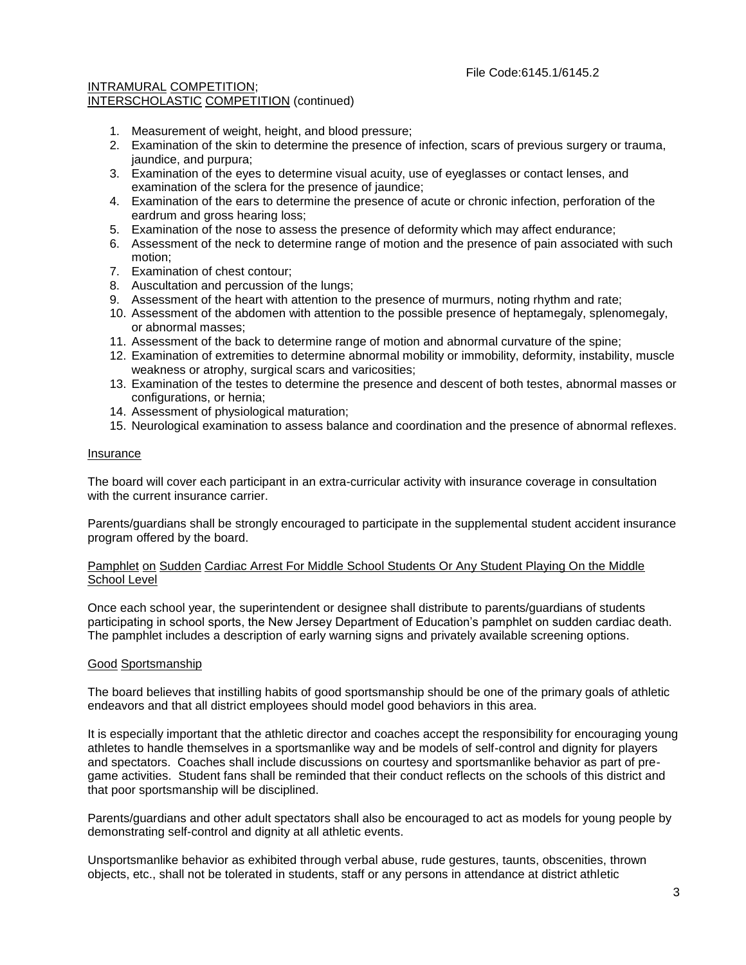- 1. Measurement of weight, height, and blood pressure;
- 2. Examination of the skin to determine the presence of infection, scars of previous surgery or trauma, jaundice, and purpura;
- 3. Examination of the eyes to determine visual acuity, use of eyeglasses or contact lenses, and examination of the sclera for the presence of jaundice;
- 4. Examination of the ears to determine the presence of acute or chronic infection, perforation of the eardrum and gross hearing loss;
- 5. Examination of the nose to assess the presence of deformity which may affect endurance;
- 6. Assessment of the neck to determine range of motion and the presence of pain associated with such motion;
- 7. Examination of chest contour;
- 8. Auscultation and percussion of the lungs;
- 9. Assessment of the heart with attention to the presence of murmurs, noting rhythm and rate;
- 10. Assessment of the abdomen with attention to the possible presence of heptamegaly, splenomegaly, or abnormal masses;
- 11. Assessment of the back to determine range of motion and abnormal curvature of the spine;
- 12. Examination of extremities to determine abnormal mobility or immobility, deformity, instability, muscle weakness or atrophy, surgical scars and varicosities;
- 13. Examination of the testes to determine the presence and descent of both testes, abnormal masses or configurations, or hernia;
- 14. Assessment of physiological maturation;
- 15. Neurological examination to assess balance and coordination and the presence of abnormal reflexes.

### Insurance

The board will cover each participant in an extra-curricular activity with insurance coverage in consultation with the current insurance carrier.

Parents/guardians shall be strongly encouraged to participate in the supplemental student accident insurance program offered by the board.

## Pamphlet on Sudden Cardiac Arrest For Middle School Students Or Any Student Playing On the Middle School Level

Once each school year, the superintendent or designee shall distribute to parents/guardians of students participating in school sports, the New Jersey Department of Education's pamphlet on sudden cardiac death. The pamphlet includes a description of early warning signs and privately available screening options.

## Good Sportsmanship

The board believes that instilling habits of good sportsmanship should be one of the primary goals of athletic endeavors and that all district employees should model good behaviors in this area.

It is especially important that the athletic director and coaches accept the responsibility for encouraging young athletes to handle themselves in a sportsmanlike way and be models of self-control and dignity for players and spectators. Coaches shall include discussions on courtesy and sportsmanlike behavior as part of pregame activities. Student fans shall be reminded that their conduct reflects on the schools of this district and that poor sportsmanship will be disciplined.

Parents/guardians and other adult spectators shall also be encouraged to act as models for young people by demonstrating self-control and dignity at all athletic events.

Unsportsmanlike behavior as exhibited through verbal abuse, rude gestures, taunts, obscenities, thrown objects, etc., shall not be tolerated in students, staff or any persons in attendance at district athletic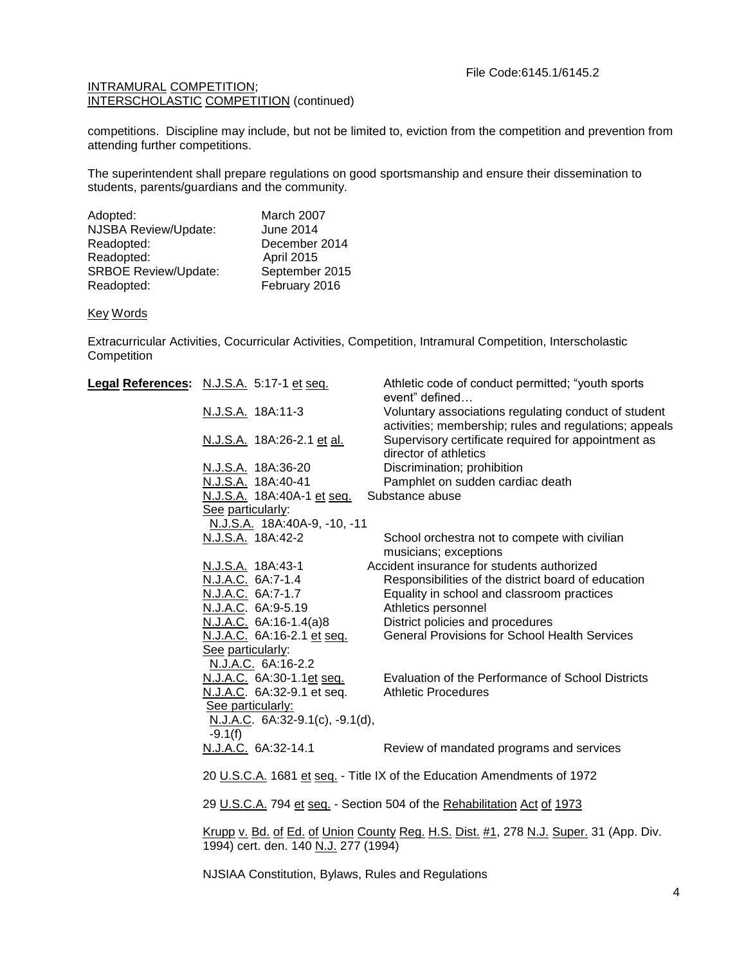competitions. Discipline may include, but not be limited to, eviction from the competition and prevention from attending further competitions.

The superintendent shall prepare regulations on good sportsmanship and ensure their dissemination to students, parents/guardians and the community.

| Adopted:                    | March 2007        |
|-----------------------------|-------------------|
| NJSBA Review/Update:        | <b>June 2014</b>  |
| Readopted:                  | December 2014     |
| Readopted:                  | <b>April 2015</b> |
| <b>SRBOE Review/Update:</b> | September 2015    |
| Readopted:                  | February 2016     |

### Key Words

Extracurricular Activities, Cocurricular Activities, Competition, Intramural Competition, Interscholastic **Competition** 

| Legal References: N.J.S.A. 5:17-1 et seq.                               | Athletic code of conduct permitted; "youth sports<br>event" defined                                            |
|-------------------------------------------------------------------------|----------------------------------------------------------------------------------------------------------------|
| N.J.S.A. 18A:11-3                                                       | Voluntary associations regulating conduct of student<br>activities; membership; rules and regulations; appeals |
| N.J.S.A. 18A:26-2.1 et al.                                              | Supervisory certificate required for appointment as<br>director of athletics                                   |
| <u>N.J.S.A.</u> 18A:36-20                                               | Discrimination; prohibition                                                                                    |
| N.J.S.A. 18A:40-41                                                      | Pamphlet on sudden cardiac death                                                                               |
| N.J.S.A. 18A:40A-1 et seq.                                              | Substance abuse                                                                                                |
| See particularly:                                                       |                                                                                                                |
| N.J.S.A. 18A:40A-9, -10, -11                                            |                                                                                                                |
| N.J.S.A. 18A:42-2                                                       | School orchestra not to compete with civilian<br>musicians; exceptions                                         |
| N.J.S.A. 18A:43-1                                                       | Accident insurance for students authorized                                                                     |
| N.J.A.C. 6A:7-1.4                                                       | Responsibilities of the district board of education                                                            |
| N.J.A.C. 6A:7-1.7                                                       | Equality in school and classroom practices                                                                     |
| N.J.A.C. 6A:9-5.19                                                      | Athletics personnel                                                                                            |
| N.J.A.C. 6A:16-1.4(a)8                                                  | District policies and procedures                                                                               |
| N.J.A.C. 6A:16-2.1 et seq.                                              | <b>General Provisions for School Health Services</b>                                                           |
| See particularly:                                                       |                                                                                                                |
| N.J.A.C. 6A:16-2.2                                                      |                                                                                                                |
| N.J.A.C. 6A:30-1.1et seq.                                               | Evaluation of the Performance of School Districts                                                              |
| N.J.A.C. 6A:32-9.1 et seq.                                              | <b>Athletic Procedures</b>                                                                                     |
| See particularly:                                                       |                                                                                                                |
| N.J.A.C. 6A:32-9.1(c), -9.1(d),                                         |                                                                                                                |
| $-9.1(f)$                                                               |                                                                                                                |
| N.J.A.C. 6A:32-14.1                                                     | Review of mandated programs and services                                                                       |
| 20 U.S.C.A. 1681 et seq. - Title IX of the Education Amendments of 1972 |                                                                                                                |
|                                                                         | 29 U.S.C.A. 794 et seq. - Section 504 of the Rehabilitation Act of 1973                                        |
|                                                                         | Krupp v. Bd. of Ed. of Union County Reg. H.S. Dist. #1, 278 N.J. Super. 31 (App. Div.                          |

1994) cert. den. 140 N.J. 277 (1994)

NJSIAA Constitution, Bylaws, Rules and Regulations